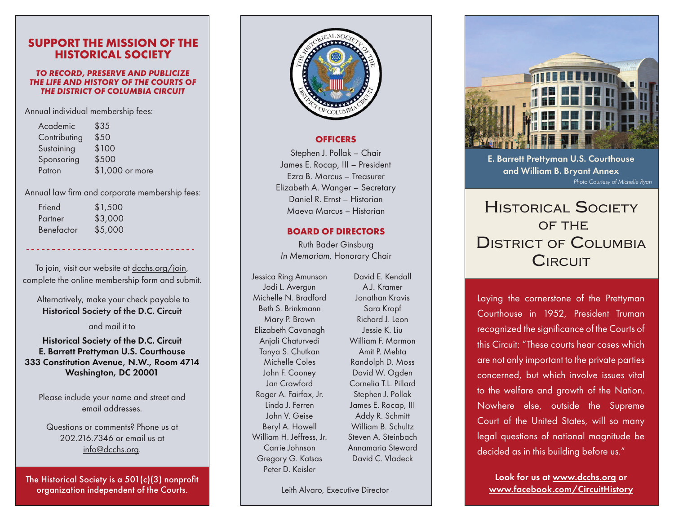# **SUPPORT THE MISSION OF THE HISTORICAL SOCIETY**

#### *TO RECORD, PRESERVE AND PUBLICIZE THE LIFE AND HISTORY OF THE COURTS OF THE DISTRICT OF COLUMBIA CIRCUIT*

Annual individual membership fees:

| Academic     | \$35            |
|--------------|-----------------|
| Contributing | \$50            |
| Sustaining   | \$100           |
| Sponsoring   | \$500           |
| Patron       | \$1,000 or more |
|              |                 |

#### Annual law firm and corporate membership fees:

| Friend     | \$1,500 |
|------------|---------|
| Partner    | \$3,000 |
| Benefactor | \$5,000 |

To join, visit our website at [dcchs.org/join,](https://dcchs.org/join/) complete the online membership form and submit.

 Alternatively, make your check payable to Historical Society of the D.C. Circuit

and mail it to

### Historical Society of the D.C. Circuit E. Barrett Prettyman U.S. Courthouse 333 Constitution Avenue, N.W., Room 4714 Washington, DC 20001

Please include your name and street and email addresses.

Questions or comments? Phone us at 202.216.7346 or email us at [info@dcchs.org](mailto:info%40dcchs.org?subject=).

The Historical Society is a 501(c)(3) nonprofit organization independent of the Courts.



#### **OFFICERS**

Stephen J. Pollak – Chair James E. Rocap, III – President Ezra B. Marcus – Treasurer Elizabeth A. Wanger – Secretary Daniel R. Ernst – Historian Maeva Marcus – Historian

### **BOARD OF DIRECTORS**

Ruth Bader Ginsburg *In Memoriam*, Honorary Chair

Jessica Ring Amunson Jodi L. Avergun Michelle N. Bradford Beth S. Brinkmann Mary P. Brown Elizabeth Cavanagh Anjali Chaturvedi Tanya S. Chutkan Michelle Coles John F. Cooney Jan Crawford Roger A. Fairfax, Jr. Linda J. Ferren John V. Geise Beryl A. Howell William H. Jeffress, Jr. Carrie Johnson Gregory G. Katsas Peter D. Keisler

David E. Kendall A.J. Kramer Jonathan Kravis Sara Kropf Richard J. Leon Jessie K. Liu William F. Marmon Amit P. Mehta Randolph D. Moss David W. Ogden Cornelia T.L. Pillard Stephen J. Pollak James E. Rocap, III Addy R. Schmitt William B. Schultz Steven A. Steinbach Annamaria Steward David C. Vladeck

Leith Alvaro, Executive Director



E. Barrett Prettyman U.S. Courthouse and William B. Bryant Annex *Photo Courtesy of Michelle Ryan*

# HISTORICAL SOCIETY OF THE DISTRICT OF COLUMBIA **CIRCUIT**

Laying the cornerstone of the Prettyman Courthouse in 1952, President Truman recognized the significance of the Courts of this Circuit: "These courts hear cases which are not only important to the private parties concerned, but which involve issues vital to the welfare and growth of the Nation. Nowhere else, outside the Supreme Court of the United States, will so many legal questions of national magnitude be decided as in this building before us."

Look for us at www.dcchs.org or [www.facebook.com/CircuitHistory](http://www.facebook.com/CircuitHistory)